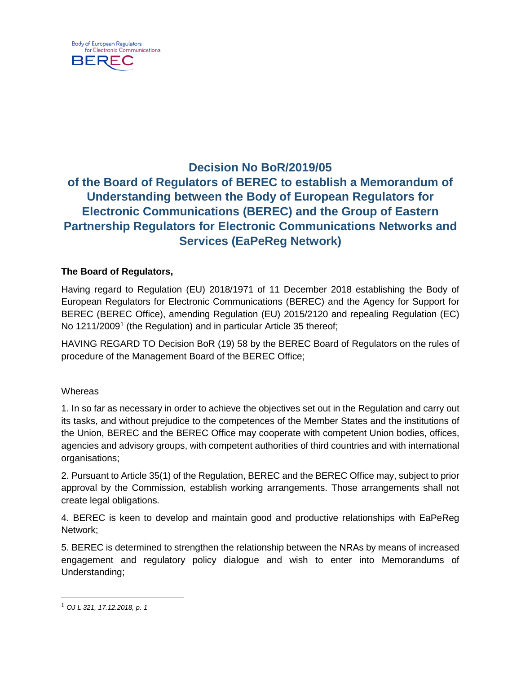

# **Decision No BoR/2019/05 of the Board of Regulators of BEREC to establish a Memorandum of Understanding between the Body of European Regulators for Electronic Communications (BEREC) and the Group of Eastern Partnership Regulators for Electronic Communications Networks and Services (EaPeReg Network)**

## **The Board of Regulators,**

Having regard to Regulation (EU) 2018/1971 of 11 December 2018 establishing the Body of European Regulators for Electronic Communications (BEREC) and the Agency for Support for BEREC (BEREC Office), amending Regulation (EU) 2015/2120 and repealing Regulation (EC) No [1](#page-0-0)211/2009<sup>1</sup> (the Regulation) and in particular Article 35 thereof;

HAVING REGARD TO Decision BoR (19) 58 by the BEREC Board of Regulators on the rules of procedure of the Management Board of the BEREC Office;

#### **Whereas**

1. In so far as necessary in order to achieve the objectives set out in the Regulation and carry out its tasks, and without prejudice to the competences of the Member States and the institutions of the Union, BEREC and the BEREC Office may cooperate with competent Union bodies, offices, agencies and advisory groups, with competent authorities of third countries and with international organisations;

2. Pursuant to Article 35(1) of the Regulation, BEREC and the BEREC Office may, subject to prior approval by the Commission, establish working arrangements. Those arrangements shall not create legal obligations.

4. BEREC is keen to develop and maintain good and productive relationships with EaPeReg Network;

5. BEREC is determined to strengthen the relationship between the NRAs by means of increased engagement and regulatory policy dialogue and wish to enter into Memorandums of Understanding;

<span id="page-0-0"></span> <sup>1</sup> *OJ L 321, 17.12.2018, p. 1*